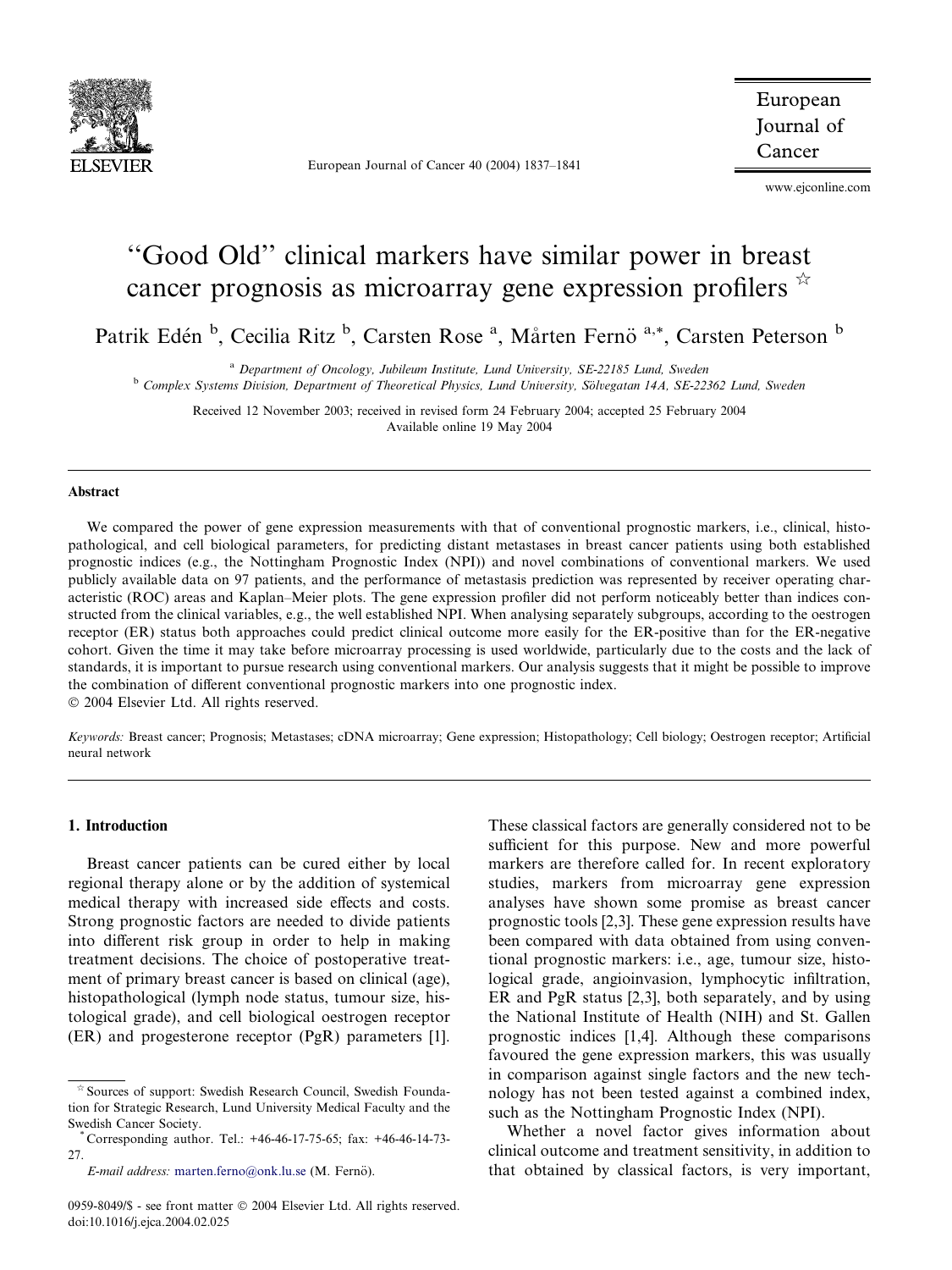

European Journal of Cancer 40 (2004) 1837–1841

European Journal of Cancer

www.ejconline.com

# ''Good Old'' clinical markers have similar power in breast cancer prognosis as microarray gene expression profilers  $\overrightarrow{r}$

Patrik Edén<sup>b</sup>, Cecilia Ritz<sup>b</sup>, Carsten Rose<sup>a</sup>, Mårten Fernö<sup>a,\*</sup>, Carsten Peterson<sup>b</sup>

<sup>a</sup> Department of Oncology, Jubileum Institute, Lund University, SE-22185 Lund, Sweden

<sup>b</sup> Complex Systems Division, Department of Theoretical Physics, Lund University, Sölvegatan 14A, SE-22362 Lund, Sweden

Received 12 November 2003; received in revised form 24 February 2004; accepted 25 February 2004 Available online 19 May 2004

#### Abstract

We compared the power of gene expression measurements with that of conventional prognostic markers, i.e., clinical, histopathological, and cell biological parameters, for predicting distant metastases in breast cancer patients using both established prognostic indices (e.g., the Nottingham Prognostic Index (NPI)) and novel combinations of conventional markers. We used publicly available data on 97 patients, and the performance of metastasis prediction was represented by receiver operating characteristic (ROC) areas and Kaplan–Meier plots. The gene expression profiler did not perform noticeably better than indices constructed from the clinical variables, e.g., the well established NPI. When analysing separately subgroups, according to the oestrogen receptor (ER) status both approaches could predict clinical outcome more easily for the ER-positive than for the ER-negative cohort. Given the time it may take before microarray processing is used worldwide, particularly due to the costs and the lack of standards, it is important to pursue research using conventional markers. Our analysis suggests that it might be possible to improve the combination of different conventional prognostic markers into one prognostic index. 2004 Elsevier Ltd. All rights reserved.

Keywords: Breast cancer; Prognosis; Metastases; cDNA microarray; Gene expression; Histopathology; Cell biology; Oestrogen receptor; Artificial neural network

## 1. Introduction

Breast cancer patients can be cured either by local regional therapy alone or by the addition of systemical medical therapy with increased side effects and costs. Strong prognostic factors are needed to divide patients into different risk group in order to help in making treatment decisions. The choice of postoperative treatment of primary breast cancer is based on clinical (age), histopathological (lymph node status, tumour size, histological grade), and cell biological oestrogen receptor (ER) and progesterone receptor (PgR) parameters [1].

These classical factors are generally considered not to be sufficient for this purpose. New and more powerful markers are therefore called for. In recent exploratory studies, markers from microarray gene expression analyses have shown some promise as breast cancer prognostic tools [2,3]. These gene expression results have been compared with data obtained from using conventional prognostic markers: i.e., age, tumour size, histological grade, angioinvasion, lymphocytic infiltration, ER and PgR status [2,3], both separately, and by using the National Institute of Health (NIH) and St. Gallen prognostic indices [1,4]. Although these comparisons favoured the gene expression markers, this was usually in comparison against single factors and the new technology has not been tested against a combined index, such as the Nottingham Prognostic Index (NPI).

Whether a novel factor gives information about clinical outcome and treatment sensitivity, in addition to that obtained by classical factors, is very important,

 $*$  Sources of support: Swedish Research Council, Swedish Foundation for Strategic Research, Lund University Medical Faculty and the Swedish Cancer Society. \* Corresponding author. Tel.: +46-46-17-75-65; fax: +46-46-14-73-

<sup>27.</sup>

E-mail address: [marten.ferno@onk.lu.se](mail to: marten.ferno@onk.lu.se) (M. Fernö).

<sup>0959-8049/\$ -</sup> see front matter  $©$  2004 Elsevier Ltd. All rights reserved. doi:10.1016/j.ejca.2004.02.025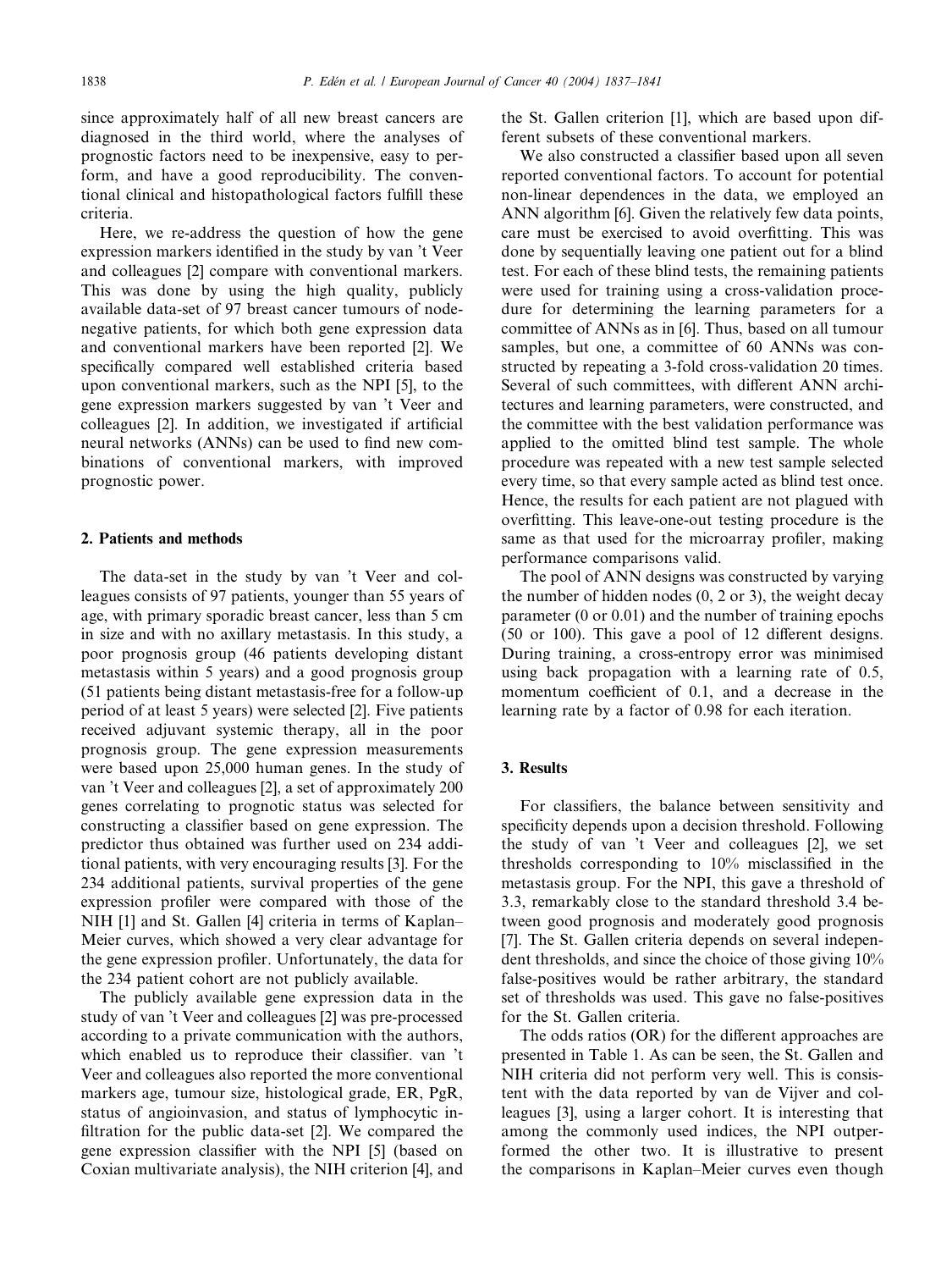since approximately half of all new breast cancers are diagnosed in the third world, where the analyses of prognostic factors need to be inexpensive, easy to perform, and have a good reproducibility. The conventional clinical and histopathological factors fulfill these criteria.

Here, we re-address the question of how the gene expression markers identified in the study by van 't Veer and colleagues [2] compare with conventional markers. This was done by using the high quality, publicly available data-set of 97 breast cancer tumours of nodenegative patients, for which both gene expression data and conventional markers have been reported [2]. We specifically compared well established criteria based upon conventional markers, such as the NPI [5], to the gene expression markers suggested by van 't Veer and colleagues [2]. In addition, we investigated if artificial neural networks (ANNs) can be used to find new combinations of conventional markers, with improved prognostic power.

#### 2. Patients and methods

The data-set in the study by van 't Veer and colleagues consists of 97 patients, younger than 55 years of age, with primary sporadic breast cancer, less than 5 cm in size and with no axillary metastasis. In this study, a poor prognosis group (46 patients developing distant metastasis within 5 years) and a good prognosis group (51 patients being distant metastasis-free for a follow-up period of at least 5 years) were selected [2]. Five patients received adjuvant systemic therapy, all in the poor prognosis group. The gene expression measurements were based upon 25,000 human genes. In the study of van 't Veer and colleagues [2], a set of approximately 200 genes correlating to prognotic status was selected for constructing a classifier based on gene expression. The predictor thus obtained was further used on 234 additional patients, with very encouraging results [3]. For the 234 additional patients, survival properties of the gene expression profiler were compared with those of the NIH [1] and St. Gallen [4] criteria in terms of Kaplan– Meier curves, which showed a very clear advantage for the gene expression profiler. Unfortunately, the data for the 234 patient cohort are not publicly available.

The publicly available gene expression data in the study of van 't Veer and colleagues [2] was pre-processed according to a private communication with the authors, which enabled us to reproduce their classifier. van 't Veer and colleagues also reported the more conventional markers age, tumour size, histological grade, ER, PgR, status of angioinvasion, and status of lymphocytic infiltration for the public data-set [2]. We compared the gene expression classifier with the NPI [5] (based on Coxian multivariate analysis), the NIH criterion [4], and

the St. Gallen criterion [1], which are based upon different subsets of these conventional markers.

We also constructed a classifier based upon all seven reported conventional factors. To account for potential non-linear dependences in the data, we employed an ANN algorithm [6]. Given the relatively few data points, care must be exercised to avoid overfitting. This was done by sequentially leaving one patient out for a blind test. For each of these blind tests, the remaining patients were used for training using a cross-validation procedure for determining the learning parameters for a committee of ANNs as in [6]. Thus, based on all tumour samples, but one, a committee of 60 ANNs was constructed by repeating a 3-fold cross-validation 20 times. Several of such committees, with different ANN architectures and learning parameters, were constructed, and the committee with the best validation performance was applied to the omitted blind test sample. The whole procedure was repeated with a new test sample selected every time, so that every sample acted as blind test once. Hence, the results for each patient are not plagued with overfitting. This leave-one-out testing procedure is the same as that used for the microarray profiler, making performance comparisons valid.

The pool of ANN designs was constructed by varying the number of hidden nodes (0, 2 or 3), the weight decay parameter (0 or 0.01) and the number of training epochs (50 or 100). This gave a pool of 12 different designs. During training, a cross-entropy error was minimised using back propagation with a learning rate of 0.5, momentum coefficient of 0.1, and a decrease in the learning rate by a factor of 0.98 for each iteration.

# 3. Results

For classifiers, the balance between sensitivity and specificity depends upon a decision threshold. Following the study of van 't Veer and colleagues [2], we set thresholds corresponding to 10% misclassified in the metastasis group. For the NPI, this gave a threshold of 3.3, remarkably close to the standard threshold 3.4 between good prognosis and moderately good prognosis [7]. The St. Gallen criteria depends on several independent thresholds, and since the choice of those giving 10% false-positives would be rather arbitrary, the standard set of thresholds was used. This gave no false-positives for the St. Gallen criteria.

The odds ratios (OR) for the different approaches are presented in Table 1. As can be seen, the St. Gallen and NIH criteria did not perform very well. This is consistent with the data reported by van de Vijver and colleagues [3], using a larger cohort. It is interesting that among the commonly used indices, the NPI outperformed the other two. It is illustrative to present the comparisons in Kaplan–Meier curves even though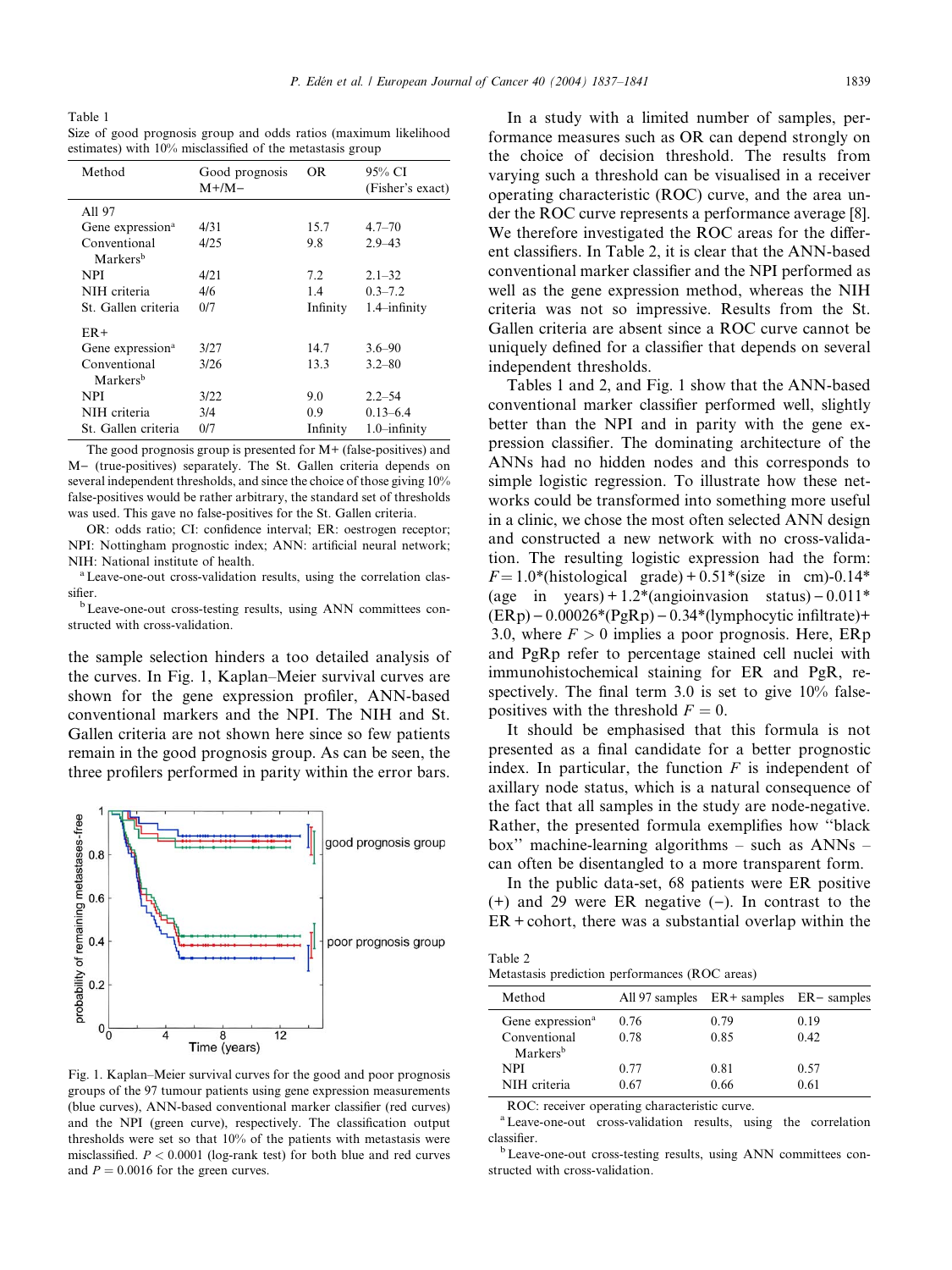Table 1 Size of good prognosis group and odds ratios (maximum likelihood estimates) with 10% misclassified of the metastasis group

| Method                       | Good prognosis | <b>OR</b> | 95% CI           |
|------------------------------|----------------|-----------|------------------|
|                              | $M+/M-$        |           | (Fisher's exact) |
| All 97                       |                |           |                  |
| Gene expression <sup>a</sup> | 4/31           | 15.7      | $4.7 - 70$       |
| Conventional                 | 4/25           | 9.8       | $2.9 - 43$       |
| Markers <sup>b</sup>         |                |           |                  |
| <b>NPI</b>                   | 4/21           | 7.2       | $2.1 - 32$       |
| NIH criteria                 | 4/6            | 1.4       | $0.3 - 7.2$      |
| St. Gallen criteria          | 0/7            | Infinity  | $1.4$ -infinity  |
| $ER+$                        |                |           |                  |
| Gene expression <sup>a</sup> | 3/27           | 14.7      | $3.6 - 90$       |
| Conventional                 | 3/26           | 13.3      | $3.2 - 80$       |
| Markers <sup>b</sup>         |                |           |                  |
| <b>NPI</b>                   | 3/22           | 9.0       | $2.2 - 54$       |
| NIH criteria                 | 3/4            | 0.9       | $0.13 - 6.4$     |
| St. Gallen criteria          | 0/7            | Infinity  | $1.0$ -infinity  |
|                              |                |           |                  |

The good prognosis group is presented for  $\overline{M+}$  (false-positives) and M) (true-positives) separately. The St. Gallen criteria depends on several independent thresholds, and since the choice of those giving 10% false-positives would be rather arbitrary, the standard set of thresholds was used. This gave no false-positives for the St. Gallen criteria.

OR: odds ratio; CI: confidence interval; ER: oestrogen receptor; NPI: Nottingham prognostic index; ANN: artificial neural network;

NIH: National institute of health.<br><sup>a</sup>Leave-one-out cross-validation results, using the correlation classifier.<br><sup>b</sup>Leave-one-out cross-testing results, using ANN committees con-

structed with cross-validation.

the sample selection hinders a too detailed analysis of the curves. In Fig. 1, Kaplan–Meier survival curves are shown for the gene expression profiler, ANN-based conventional markers and the NPI. The NIH and St. Gallen criteria are not shown here since so few patients remain in the good prognosis group. As can be seen, the three profilers performed in parity within the error bars.



Fig. 1. Kaplan–Meier survival curves for the good and poor prognosis groups of the 97 tumour patients using gene expression measurements (blue curves), ANN-based conventional marker classifier (red curves) and the NPI (green curve), respectively. The classification output thresholds were set so that 10% of the patients with metastasis were misclassified.  $P < 0.0001$  (log-rank test) for both blue and red curves and  $P = 0.0016$  for the green curves.

In a study with a limited number of samples, performance measures such as OR can depend strongly on the choice of decision threshold. The results from varying such a threshold can be visualised in a receiver operating characteristic (ROC) curve, and the area under the ROC curve represents a performance average [8]. We therefore investigated the ROC areas for the different classifiers. In Table 2, it is clear that the ANN-based conventional marker classifier and the NPI performed as well as the gene expression method, whereas the NIH criteria was not so impressive. Results from the St. Gallen criteria are absent since a ROC curve cannot be uniquely defined for a classifier that depends on several independent thresholds.

Tables 1 and 2, and Fig. 1 show that the ANN-based conventional marker classifier performed well, slightly better than the NPI and in parity with the gene expression classifier. The dominating architecture of the ANNs had no hidden nodes and this corresponds to simple logistic regression. To illustrate how these networks could be transformed into something more useful in a clinic, we chose the most often selected ANN design and constructed a new network with no cross-validation. The resulting logistic expression had the form:  $F = 1.0$ \*(histological grade) + 0.51\*(size in cm)-0.14\* (age in years)  $+1.2*($ angioinvasion status)  $-0.011*$  $(ERp) - 0.00026*(PgRp) - 0.34*(lymphocytic infinite) +$ 3.0, where  $F > 0$  implies a poor prognosis. Here, ERp and PgRp refer to percentage stained cell nuclei with immunohistochemical staining for ER and PgR, respectively. The final term 3.0 is set to give 10% falsepositives with the threshold  $F = 0$ .

It should be emphasised that this formula is not presented as a final candidate for a better prognostic index. In particular, the function  $F$  is independent of axillary node status, which is a natural consequence of the fact that all samples in the study are node-negative. Rather, the presented formula exemplifies how ''black box'' machine-learning algorithms – such as ANNs – can often be disentangled to a more transparent form.

In the public data-set, 68 patients were ER positive  $(+)$  and 29 were ER negative  $(-)$ . In contrast to the  $ER +$  cohort, there was a substantial overlap within the

| Table 2 |                                                |
|---------|------------------------------------------------|
|         | Metastasis prediction performances (ROC areas) |

| Method                               |      | All 97 samples ER + samples ER – samples |      |
|--------------------------------------|------|------------------------------------------|------|
| Gene expression <sup>a</sup>         | 0.76 | 0.79                                     | 0.19 |
| Conventional<br>Markers <sup>b</sup> | 0.78 | 0.85                                     | 0.42 |
| NPI                                  | 0.77 | 0.81                                     | 0.57 |
| NIH criteria                         | 0.67 | 0.66                                     | 0.61 |

ROC: receiver operating characteristic curve.

<sup>a</sup>Leave-one-out cross-validation results, using the correlation classifier.<br>bLeave-one-out cross-testing results, using ANN committees con-

structed with cross-validation.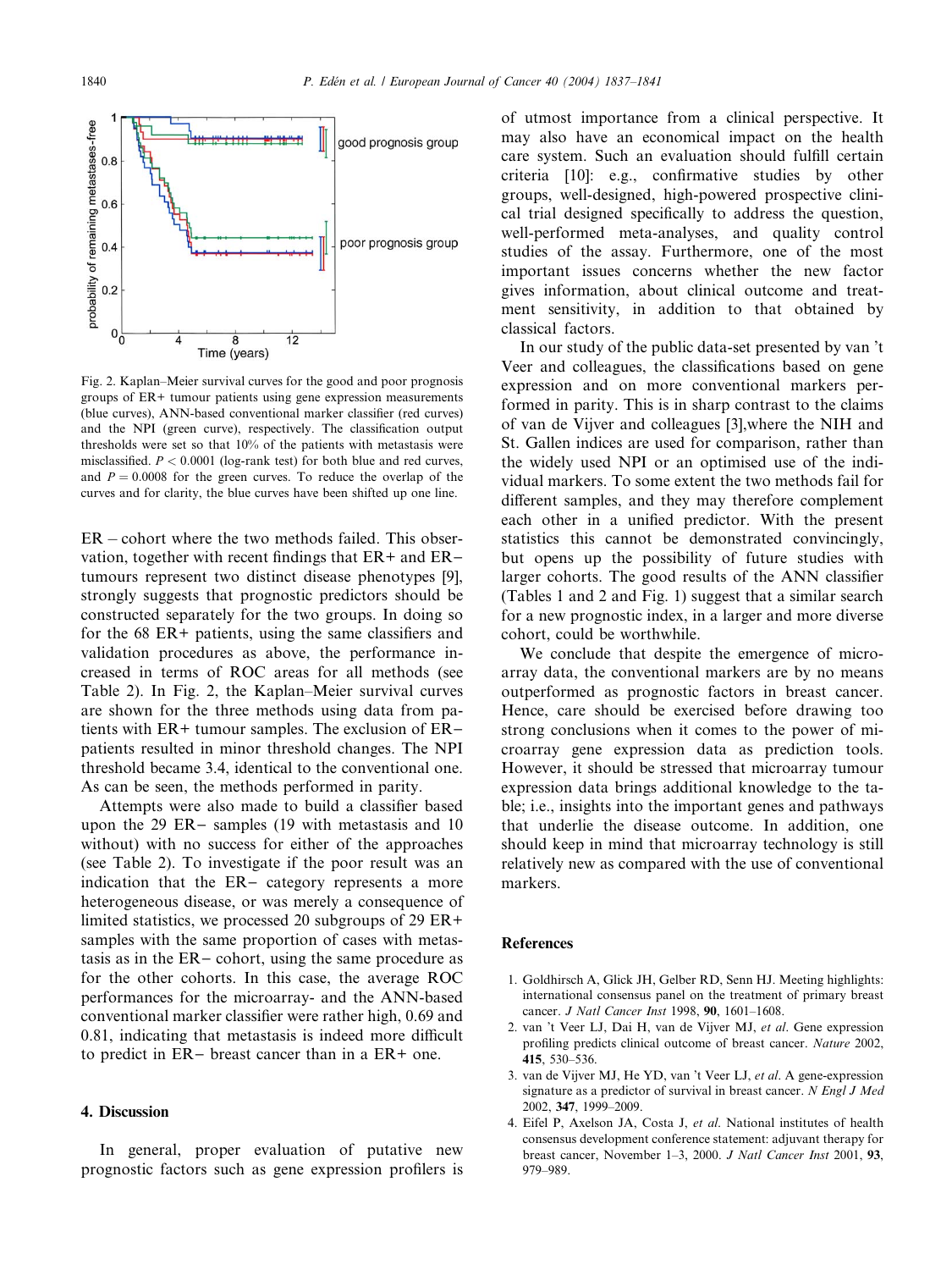

Fig. 2. Kaplan–Meier survival curves for the good and poor prognosis groups of ER+ tumour patients using gene expression measurements (blue curves), ANN-based conventional marker classifier (red curves) and the NPI (green curve), respectively. The classification output thresholds were set so that 10% of the patients with metastasis were misclassified.  $P < 0.0001$  (log-rank test) for both blue and red curves, and  $P = 0.0008$  for the green curves. To reduce the overlap of the curves and for clarity, the blue curves have been shifted up one line.

 $ER$  – cohort where the two methods failed. This observation, together with recent findings that  $ER +$  and  $ER$ tumours represent two distinct disease phenotypes [9], strongly suggests that prognostic predictors should be constructed separately for the two groups. In doing so for the 68 ER+ patients, using the same classifiers and validation procedures as above, the performance increased in terms of ROC areas for all methods (see Table 2). In Fig. 2, the Kaplan–Meier survival curves are shown for the three methods using data from patients with  $ER+$  tumour samples. The exclusion of  $ER$ patients resulted in minor threshold changes. The NPI threshold became 3.4, identical to the conventional one. As can be seen, the methods performed in parity.

Attempts were also made to build a classifier based upon the 29 ER $-$  samples (19 with metastasis and 10 without) with no success for either of the approaches (see Table 2). To investigate if the poor result was an indication that the ER- category represents a more heterogeneous disease, or was merely a consequence of limited statistics, we processed 20 subgroups of 29 ER+ samples with the same proportion of cases with metastasis as in the  $ER$  - cohort, using the same procedure as for the other cohorts. In this case, the average ROC performances for the microarray- and the ANN-based conventional marker classifier were rather high, 0.69 and 0.81, indicating that metastasis is indeed more difficult to predict in  $ER$  - breast cancer than in a  $ER$  + one.

#### 4. Discussion

In general, proper evaluation of putative new prognostic factors such as gene expression profilers is of utmost importance from a clinical perspective. It may also have an economical impact on the health care system. Such an evaluation should fulfill certain criteria [10]: e.g., confirmative studies by other groups, well-designed, high-powered prospective clinical trial designed specifically to address the question, well-performed meta-analyses, and quality control studies of the assay. Furthermore, one of the most important issues concerns whether the new factor gives information, about clinical outcome and treatment sensitivity, in addition to that obtained by classical factors.

In our study of the public data-set presented by van 't Veer and colleagues, the classifications based on gene expression and on more conventional markers performed in parity. This is in sharp contrast to the claims of van de Vijver and colleagues [3],where the NIH and St. Gallen indices are used for comparison, rather than the widely used NPI or an optimised use of the individual markers. To some extent the two methods fail for different samples, and they may therefore complement each other in a unified predictor. With the present statistics this cannot be demonstrated convincingly, but opens up the possibility of future studies with larger cohorts. The good results of the ANN classifier (Tables 1 and 2 and Fig. 1) suggest that a similar search for a new prognostic index, in a larger and more diverse cohort, could be worthwhile.

We conclude that despite the emergence of microarray data, the conventional markers are by no means outperformed as prognostic factors in breast cancer. Hence, care should be exercised before drawing too strong conclusions when it comes to the power of microarray gene expression data as prediction tools. However, it should be stressed that microarray tumour expression data brings additional knowledge to the table; i.e., insights into the important genes and pathways that underlie the disease outcome. In addition, one should keep in mind that microarray technology is still relatively new as compared with the use of conventional markers.

### References

- 1. Goldhirsch A, Glick JH, Gelber RD, Senn HJ. Meeting highlights: international consensus panel on the treatment of primary breast cancer. J Natl Cancer Inst 1998, 90, 1601–1608.
- 2. van 't Veer LJ, Dai H, van de Vijver MJ, et al. Gene expression profiling predicts clinical outcome of breast cancer. Nature 2002, 415, 530–536.
- 3. van de Vijver MJ, He YD, van 't Veer LJ, et al. A gene-expression signature as a predictor of survival in breast cancer. N Engl J Med 2002, 347, 1999–2009.
- 4. Eifel P, Axelson JA, Costa J, et al. National institutes of health consensus development conference statement: adjuvant therapy for breast cancer, November 1–3, 2000. J Natl Cancer Inst 2001, 93, 979–989.